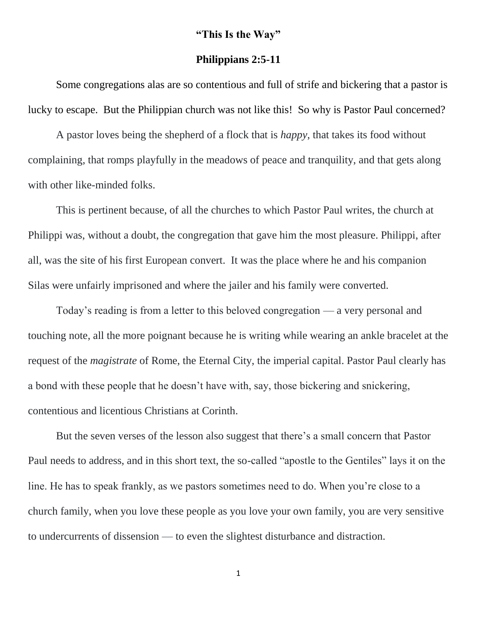## **"This Is the Way"**

## **Philippians 2:5-11**

Some congregations alas are so contentious and full of strife and bickering that a pastor is lucky to escape. But the Philippian church was not like this! So why is Pastor Paul concerned?

A pastor loves being the shepherd of a flock that is *happy*, that takes its food without complaining, that romps playfully in the meadows of peace and tranquility, and that gets along with other like-minded folks.

This is pertinent because, of all the churches to which Pastor Paul writes, the church at Philippi was, without a doubt, the congregation that gave him the most pleasure. Philippi, after all, was the site of his first European convert. It was the place where he and his companion Silas were unfairly imprisoned and where the jailer and his family were converted.

Today's reading is from a letter to this beloved congregation — a very personal and touching note, all the more poignant because he is writing while wearing an ankle bracelet at the request of the *magistrate* of Rome, the Eternal City, the imperial capital. Pastor Paul clearly has a bond with these people that he doesn't have with, say, those bickering and snickering, contentious and licentious Christians at Corinth.

But the seven verses of the lesson also suggest that there's a small concern that Pastor Paul needs to address, and in this short text, the so-called "apostle to the Gentiles" lays it on the line. He has to speak frankly, as we pastors sometimes need to do. When you're close to a church family, when you love these people as you love your own family, you are very sensitive to undercurrents of dissension — to even the slightest disturbance and distraction.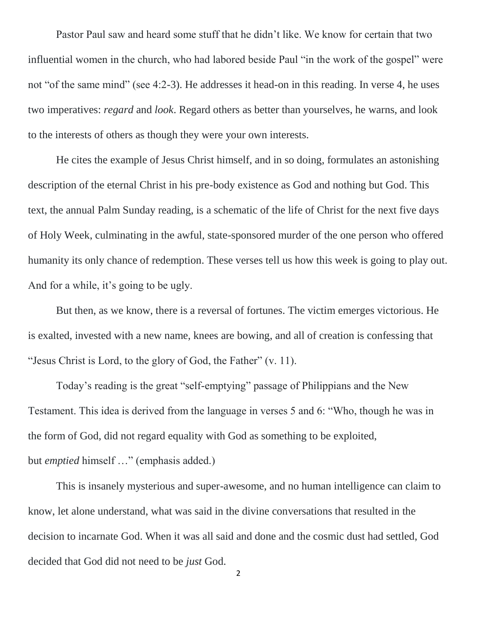Pastor Paul saw and heard some stuff that he didn't like. We know for certain that two influential women in the church, who had labored beside Paul "in the work of the gospel" were not "of the same mind" (see 4:2-3). He addresses it head-on in this reading. In verse 4, he uses two imperatives: *regard* and *look*. Regard others as better than yourselves, he warns, and look to the interests of others as though they were your own interests.

He cites the example of Jesus Christ himself, and in so doing, formulates an astonishing description of the eternal Christ in his pre-body existence as God and nothing but God. This text, the annual Palm Sunday reading, is a schematic of the life of Christ for the next five days of Holy Week, culminating in the awful, state-sponsored murder of the one person who offered humanity its only chance of redemption. These verses tell us how this week is going to play out. And for a while, it's going to be ugly.

But then, as we know, there is a reversal of fortunes. The victim emerges victorious. He is exalted, invested with a new name, knees are bowing, and all of creation is confessing that "Jesus Christ is Lord, to the glory of God, the Father" (v. 11).

Today's reading is the great "self-emptying" passage of Philippians and the New Testament. This idea is derived from the language in verses 5 and 6: "Who, though he was in the form of God, did not regard equality with God as something to be exploited, but *emptied* himself …" (emphasis added.)

This is insanely mysterious and super-awesome, and no human intelligence can claim to know, let alone understand, what was said in the divine conversations that resulted in the decision to incarnate God. When it was all said and done and the cosmic dust had settled, God decided that God did not need to be *just* God.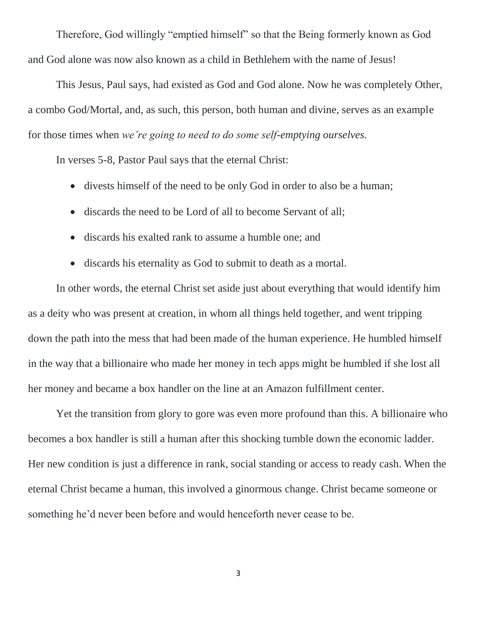Therefore, God willingly "emptied himself" so that the Being formerly known as God and God alone was now also known as a child in Bethlehem with the name of Jesus!

This Jesus, Paul says, had existed as God and God alone. Now he was completely Other, a combo God/Mortal, and, as such, this person, both human and divine, serves as an example for those times when *we're going to need to do some self-emptying ourselves.*

In verses 5-8, Pastor Paul says that the eternal Christ:

- divests himself of the need to be only God in order to also be a human;
- discards the need to be Lord of all to become Servant of all;
- discards his exalted rank to assume a humble one; and
- discards his eternality as God to submit to death as a mortal.

In other words, the eternal Christ set aside just about everything that would identify him as a deity who was present at creation, in whom all things held together, and went tripping down the path into the mess that had been made of the human experience. He humbled himself in the way that a billionaire who made her money in tech apps might be humbled if she lost all her money and became a box handler on the line at an Amazon fulfillment center.

Yet the transition from glory to gore was even more profound than this. A billionaire who becomes a box handler is still a human after this shocking tumble down the economic ladder. Her new condition is just a difference in rank, social standing or access to ready cash. When the eternal Christ became a human, this involved a ginormous change. Christ became someone or something he'd never been before and would henceforth never cease to be.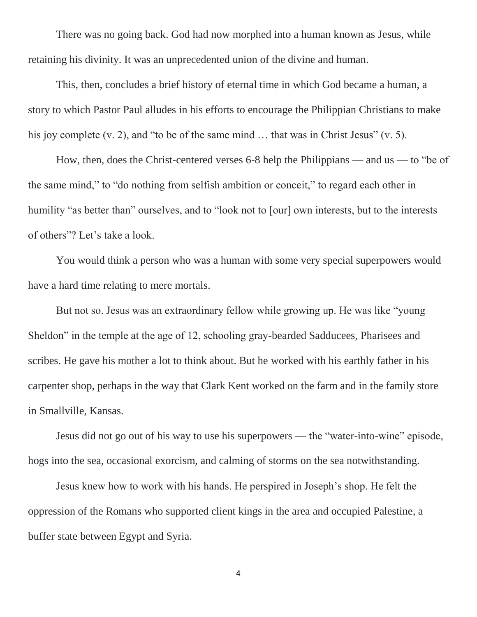There was no going back. God had now morphed into a human known as Jesus, while retaining his divinity. It was an unprecedented union of the divine and human.

This, then, concludes a brief history of eternal time in which God became a human, a story to which Pastor Paul alludes in his efforts to encourage the Philippian Christians to make his joy complete (v. 2), and "to be of the same mind ... that was in Christ Jesus" (v. 5).

How, then, does the Christ-centered verses 6-8 help the Philippians — and us — to "be of the same mind," to "do nothing from selfish ambition or conceit," to regard each other in humility "as better than" ourselves, and to "look not to [our] own interests, but to the interests of others"? Let's take a look.

You would think a person who was a human with some very special superpowers would have a hard time relating to mere mortals.

But not so. Jesus was an extraordinary fellow while growing up. He was like "young Sheldon" in the temple at the age of 12, schooling gray-bearded Sadducees, Pharisees and scribes. He gave his mother a lot to think about. But he worked with his earthly father in his carpenter shop, perhaps in the way that Clark Kent worked on the farm and in the family store in Smallville, Kansas.

Jesus did not go out of his way to use his superpowers — the "water-into-wine" episode, hogs into the sea, occasional exorcism, and calming of storms on the sea notwithstanding.

Jesus knew how to work with his hands. He perspired in Joseph's shop. He felt the oppression of the Romans who supported client kings in the area and occupied Palestine, a buffer state between Egypt and Syria.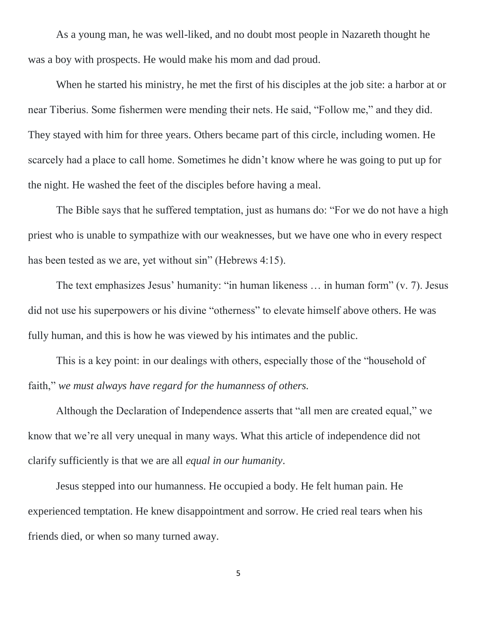As a young man, he was well-liked, and no doubt most people in Nazareth thought he was a boy with prospects. He would make his mom and dad proud.

When he started his ministry, he met the first of his disciples at the job site: a harbor at or near Tiberius. Some fishermen were mending their nets. He said, "Follow me," and they did. They stayed with him for three years. Others became part of this circle, including women. He scarcely had a place to call home. Sometimes he didn't know where he was going to put up for the night. He washed the feet of the disciples before having a meal.

The Bible says that he suffered temptation, just as humans do: "For we do not have a high priest who is unable to sympathize with our weaknesses, but we have one who in every respect has been tested as we are, yet without sin" (Hebrews 4:15).

The text emphasizes Jesus' humanity: "in human likeness … in human form" (v. 7). Jesus did not use his superpowers or his divine "otherness" to elevate himself above others. He was fully human, and this is how he was viewed by his intimates and the public.

This is a key point: in our dealings with others, especially those of the "household of faith," *we must always have regard for the humanness of others.*

Although the Declaration of Independence asserts that "all men are created equal," we know that we're all very unequal in many ways. What this article of independence did not clarify sufficiently is that we are all *equal in our humanity*.

Jesus stepped into our humanness. He occupied a body. He felt human pain. He experienced temptation. He knew disappointment and sorrow. He cried real tears when his friends died, or when so many turned away.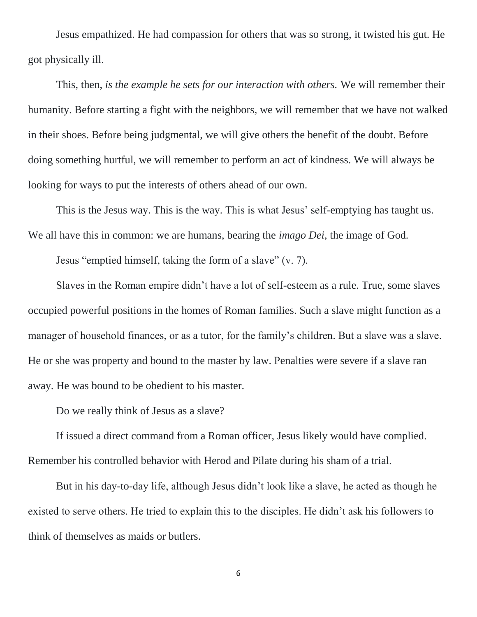Jesus empathized. He had compassion for others that was so strong, it twisted his gut. He got physically ill.

This, then, *is the example he sets for our interaction with others.* We will remember their humanity. Before starting a fight with the neighbors, we will remember that we have not walked in their shoes. Before being judgmental, we will give others the benefit of the doubt. Before doing something hurtful, we will remember to perform an act of kindness. We will always be looking for ways to put the interests of others ahead of our own.

This is the Jesus way. This is the way. This is what Jesus' self-emptying has taught us. We all have this in common: we are humans, bearing the *imago Dei,* the image of God*.*

Jesus "emptied himself, taking the form of a slave" (v. 7).

Slaves in the Roman empire didn't have a lot of self-esteem as a rule. True, some slaves occupied powerful positions in the homes of Roman families. Such a slave might function as a manager of household finances, or as a tutor, for the family's children. But a slave was a slave. He or she was property and bound to the master by law. Penalties were severe if a slave ran away. He was bound to be obedient to his master.

Do we really think of Jesus as a slave?

If issued a direct command from a Roman officer, Jesus likely would have complied. Remember his controlled behavior with Herod and Pilate during his sham of a trial.

But in his day-to-day life, although Jesus didn't look like a slave, he acted as though he existed to serve others. He tried to explain this to the disciples. He didn't ask his followers to think of themselves as maids or butlers.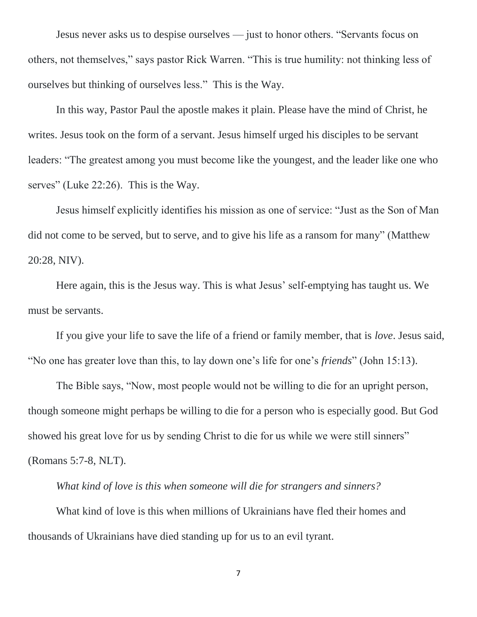Jesus never asks us to despise ourselves — just to honor others. "Servants focus on others, not themselves," says pastor Rick Warren. "This is true humility: not thinking less of ourselves but thinking of ourselves less." This is the Way.

In this way, Pastor Paul the apostle makes it plain. Please have the mind of Christ, he writes. Jesus took on the form of a servant. Jesus himself urged his disciples to be servant leaders: "The greatest among you must become like the youngest, and the leader like one who serves" (Luke 22:26). This is the Way.

Jesus himself explicitly identifies his mission as one of service: "Just as the Son of Man did not come to be served, but to serve, and to give his life as a ransom for many" (Matthew 20:28, NIV).

Here again, this is the Jesus way. This is what Jesus' self-emptying has taught us. We must be servants.

If you give your life to save the life of a friend or family member, that is *love*. Jesus said, "No one has greater love than this, to lay down one's life for one's *friends*" (John 15:13).

The Bible says, "Now, most people would not be willing to die for an upright person, though someone might perhaps be willing to die for a person who is especially good. But God showed his great love for us by sending Christ to die for us while we were still sinners" (Romans 5:7-8, NLT).

*What kind of love is this when someone will die for strangers and sinners?*

What kind of love is this when millions of Ukrainians have fled their homes and thousands of Ukrainians have died standing up for us to an evil tyrant.